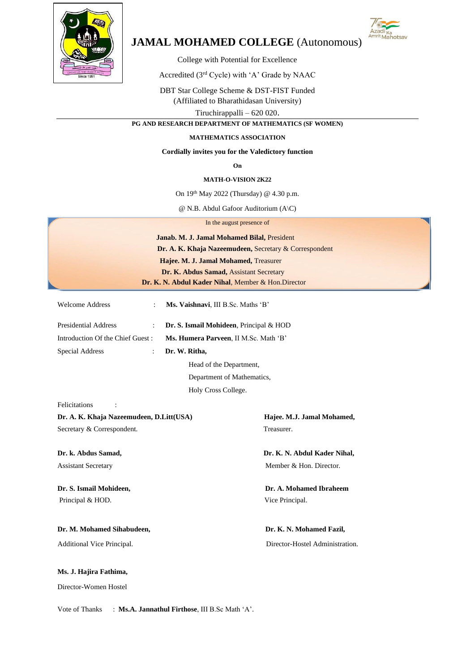

# **JAMAL MOHAMED COLLEGE** (Autonomous)



College with Potential for Excellence

Accredited (3rd Cycle) with 'A' Grade by NAAC

DBT Star College Scheme & DST-FIST Funded (Affiliated to Bharathidasan University) Tiruchirappalli – 620 020.

**PG AND RESEARCH DEPARTMENT OF MATHEMATICS (SF WOMEN)**

### **MATHEMATICS ASSOCIATION**

#### **Cordially invites you for the Valedictory function**

**On** 

#### **MATH-O-VISION 2K22**

On  $19<sup>th</sup>$  May 2022 (Thursday) @ 4.30 p.m.

@ N.B. Abdul Gafoor Auditorium (A\C)

In the august presence of

| Janab. M. J. Jamal Mohamed Bilal, President            |
|--------------------------------------------------------|
| Dr. A. K. Khaja Nazeemudeen, Secretary & Correspondent |
| Hajee. M. J. Jamal Mohamed, Treasurer                  |
| Dr. K. Abdus Samad, Assistant Secretary                |
| Dr. K. N. Abdul Kader Nihal, Member & Hon.Director     |

Department of Mathematics,

Holy Cross College.

| <b>Welcome Address</b>           | Ms. Vaishnavi, III B.Sc. Maths 'B'              |
|----------------------------------|-------------------------------------------------|
| <b>Presidential Address</b>      | <b>Dr. S. Ismail Mohideen</b> , Principal & HOD |
| Introduction Of the Chief Guest: | Ms. Humera Parveen, II M.Sc. Math 'B'           |
| Special Address                  | Dr. W. Ritha,                                   |
|                                  | Head of the Department,                         |

Felicitations :

**Dr. A. K. Khaja Nazeemudeen, D.Litt(USA) Hajee. M.J. Jamal Mohamed,**  Secretary & Correspondent. Treasurer.

Principal & HOD. Vice Principal.

## Dr. M. Mohamed Sihabudeen, **Dr. K. N. Mohamed Fazil**,

**Ms. J. Hajira Fathima,**

Director-Women Hostel

**Dr. k. Abdus Samad, Dr. K. N. Abdul Kader Nihal,** Assistant SecretaryMember & Hon. Director.

**Dr. S. Ismail Mohideen, Dr. A. Mohamed Ibraheem**

Additional Vice Principal. Director-Hostel Administration.

Vote of Thanks : **Ms.A. Jannathul Firthose**, III B.Sc Math 'A'.